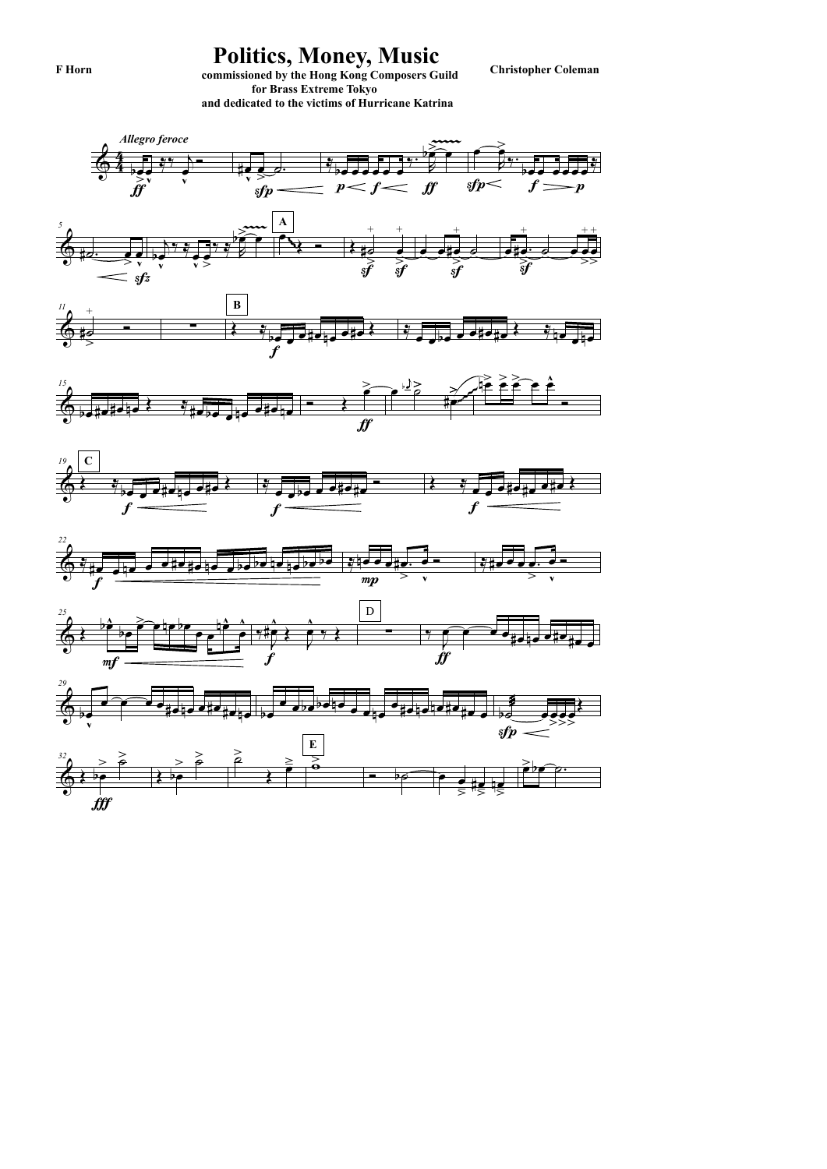















## Politics, Money, Music<br>
commissioned by the Hong Kong Composers Guild<br>
Christopher Coleman

 for Brass Extreme Tokyo and dedicated to the victims of Hurricane Katrina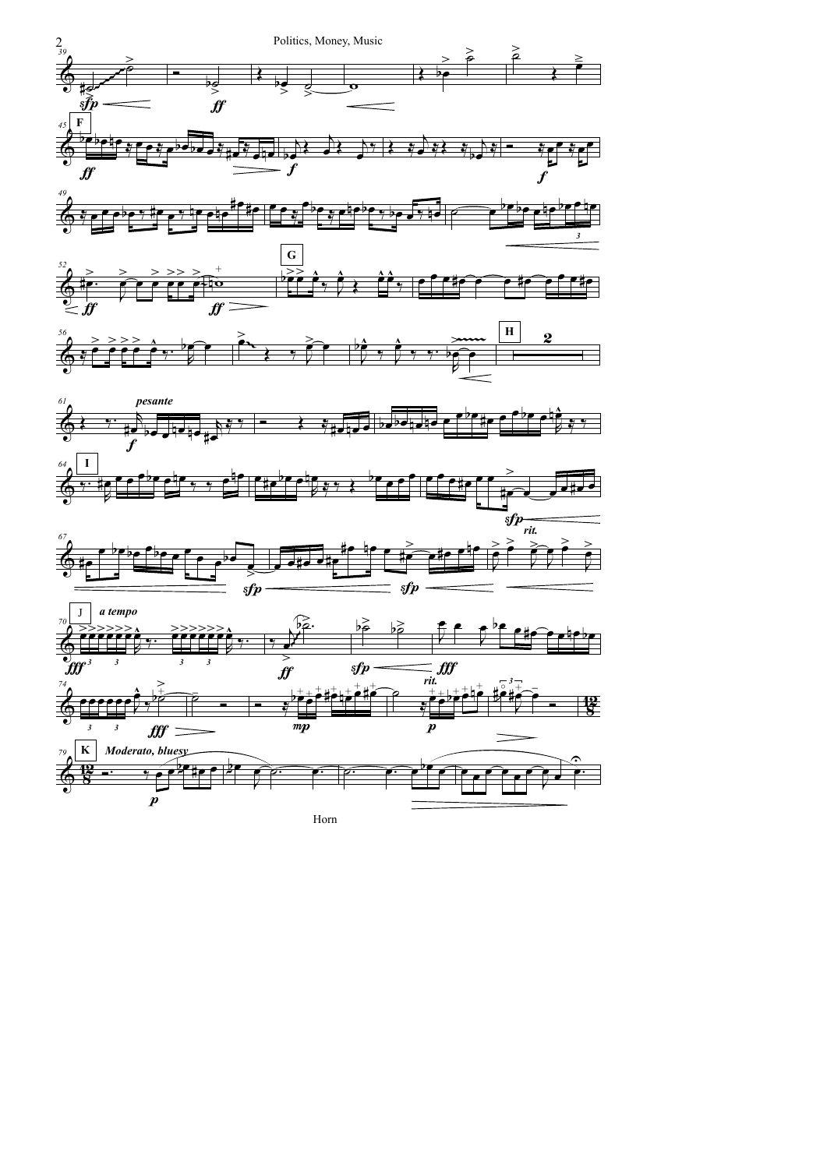







Horn